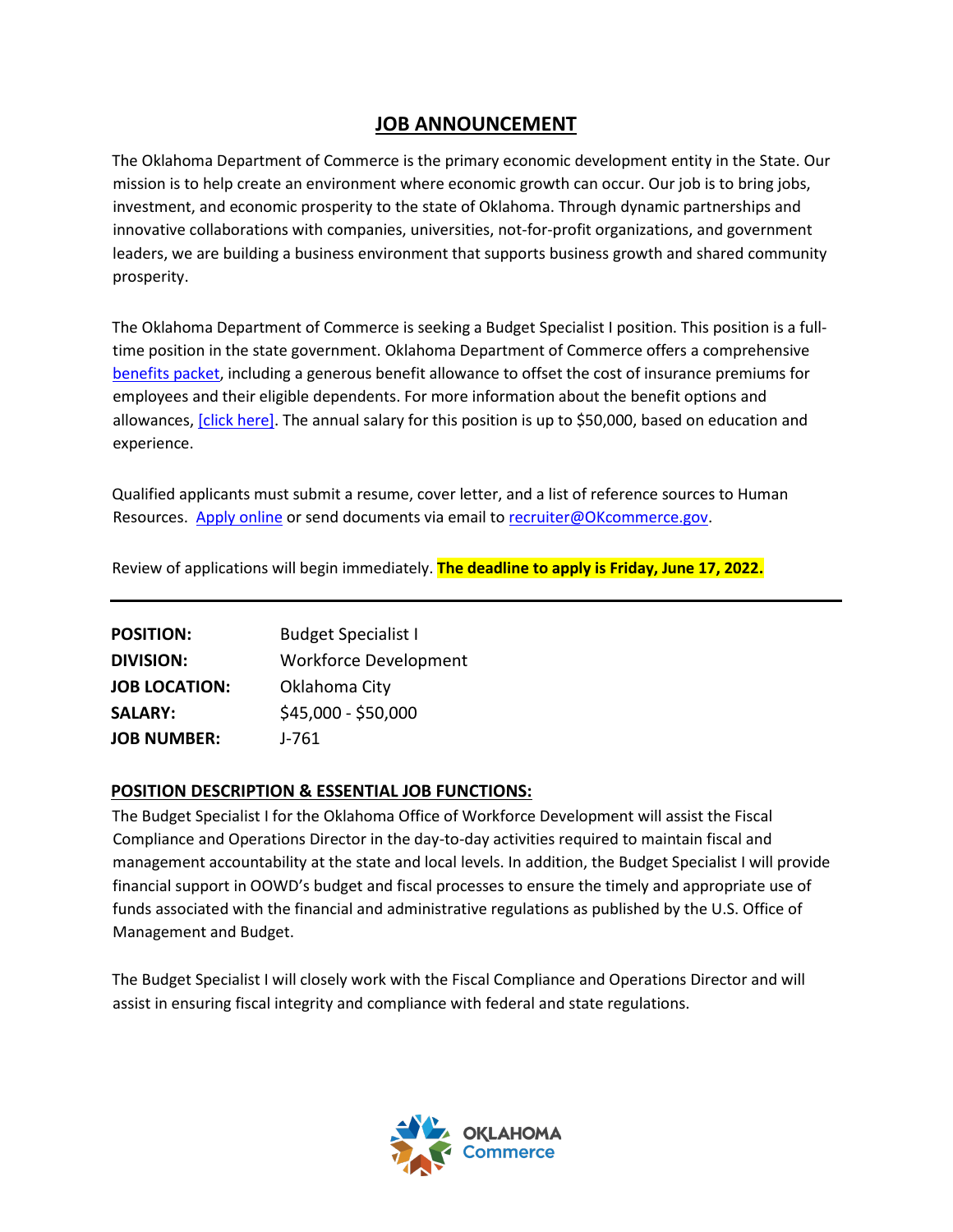## **JOB ANNOUNCEMENT**

The Oklahoma Department of Commerce is the primary economic development entity in the State. Our mission is to help create an environment where economic growth can occur. Our job is to bring jobs, investment, and economic prosperity to the state of Oklahoma. Through dynamic partnerships and innovative collaborations with companies, universities, not-for-profit organizations, and government leaders, we are building a business environment that supports business growth and shared community prosperity.

The Oklahoma Department of Commerce is seeking a Budget Specialist I position. This position is a fulltime position in the state government. Oklahoma Department of Commerce offers a comprehensi[ve](https://omes.ok.gov/services/employee-benefits)  [benefits packet,](https://omes.ok.gov/services/employee-benefits) including a generous benefit allowance to offset the cost of insurance premiums for employees and their eligible dependents. For more information about the benefit options and allowances, [\[click here\]](https://oklahoma.gov/content/dam/ok/en/employee-benefits/documents/2022-forms/2022-Monthly-Rates.pdf)[. T](https://www.ebd.ok.gov/SiteCollectionDocuments/en/Benefits/PY2021/2021_Monthly_Rates_V2.pdf)he annual salary for this position is up to \$50,000, based on education and experience.

Qualified applicants must submit a resume, cover letter, and a list of reference sources to Human Resources[. Apply online](https://form.jotform.com/200236307786152) or send documents via email to recruiter@OKcommerce.gov.

Review of applications will begin immediately. **The deadline to apply is Friday, June 17, 2022.**

| <b>POSITION:</b>     | <b>Budget Specialist I</b>   |
|----------------------|------------------------------|
| <b>DIVISION:</b>     | <b>Workforce Development</b> |
| <b>JOB LOCATION:</b> | Oklahoma City                |
| <b>SALARY:</b>       | \$45,000 - \$50,000          |
| <b>JOB NUMBER:</b>   | $J - 761$                    |

#### **POSITION DESCRIPTION & ESSENTIAL JOB FUNCTIONS:**

The Budget Specialist I for the Oklahoma Office of Workforce Development will assist the Fiscal Compliance and Operations Director in the day-to-day activities required to maintain fiscal and management accountability at the state and local levels. In addition, the Budget Specialist I will provide financial support in OOWD's budget and fiscal processes to ensure the timely and appropriate use of funds associated with the financial and administrative regulations as published by the U.S. Office of Management and Budget.

The Budget Specialist I will closely work with the Fiscal Compliance and Operations Director and will assist in ensuring fiscal integrity and compliance with federal and state regulations.